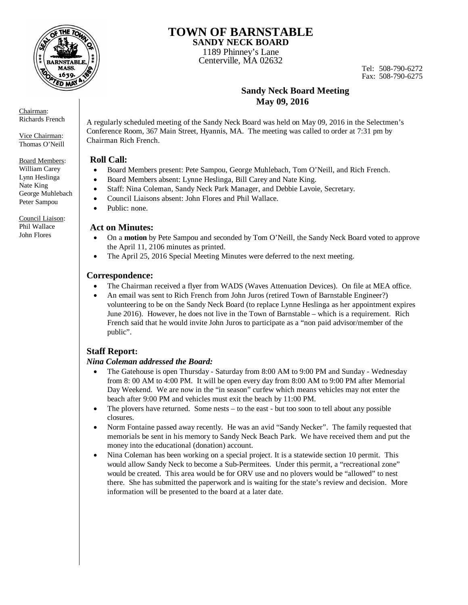

### **TOWN OF BARNSTABLE SANDY NECK BOARD**

1189 Phinney's Lane

Centerville, MA 02632

Tel: 508-790-6272 Fax: 508-790-6275

## **Sandy Neck Board Meeting May 09, 2016**

A regularly scheduled meeting of the Sandy Neck Board was held on May 09, 2016 in the Selectmen's Conference Room, 367 Main Street, Hyannis, MA. The meeting was called to order at 7:31 pm by Chairman Rich French.

#### **Roll Call:**

- Board Members present: Pete Sampou, George Muhlebach, Tom O'Neill, and Rich French.
- Board Members absent: Lynne Heslinga, Bill Carey and Nate King.
- Staff: Nina Coleman, Sandy Neck Park Manager, and Debbie Lavoie, Secretary.
- Council Liaisons absent: John Flores and Phil Wallace.
- Public: none.

#### **Act on Minutes:**

- On a **motion** by Pete Sampou and seconded by Tom O'Neill, the Sandy Neck Board voted to approve the April 11, 2106 minutes as printed.
- The April 25, 2016 Special Meeting Minutes were deferred to the next meeting.

## **Correspondence:**

- The Chairman received a flyer from WADS (Waves Attenuation Devices). On file at MEA office.
- An email was sent to Rich French from John Juros (retired Town of Barnstable Engineer?) volunteering to be on the Sandy Neck Board (to replace Lynne Heslinga as her appointment expires June 2016). However, he does not live in the Town of Barnstable – which is a requirement. Rich French said that he would invite John Juros to participate as a "non paid advisor/member of the public".

# **Staff Report:**

#### *Nina Coleman addressed the Board:*

- The Gatehouse is open Thursday Saturday from 8:00 AM to 9:00 PM and Sunday Wednesday from 8: 00 AM to 4:00 PM. It will be open every day from 8:00 AM to 9:00 PM after Memorial Day Weekend. We are now in the "in season" curfew which means vehicles may not enter the beach after 9:00 PM and vehicles must exit the beach by 11:00 PM.
- $\bullet$  The plovers have returned. Some nests to the east but too soon to tell about any possible closures.
- Norm Fontaine passed away recently. He was an avid "Sandy Necker". The family requested that memorials be sent in his memory to Sandy Neck Beach Park. We have received them and put the money into the educational (donation) account.
- Nina Coleman has been working on a special project. It is a statewide section 10 permit. This would allow Sandy Neck to become a Sub-Permitees. Under this permit, a "recreational zone" would be created. This area would be for ORV use and no plovers would be "allowed" to nest there. She has submitted the paperwork and is waiting for the state's review and decision. More information will be presented to the board at a later date.

Chairman: Richards French

Vice Chairman: Thomas O'Neill

Board Members: William Carey Lynn Heslinga Nate King George Muhlebach Peter Sampou

Council Liaison: Phil Wallace John Flores